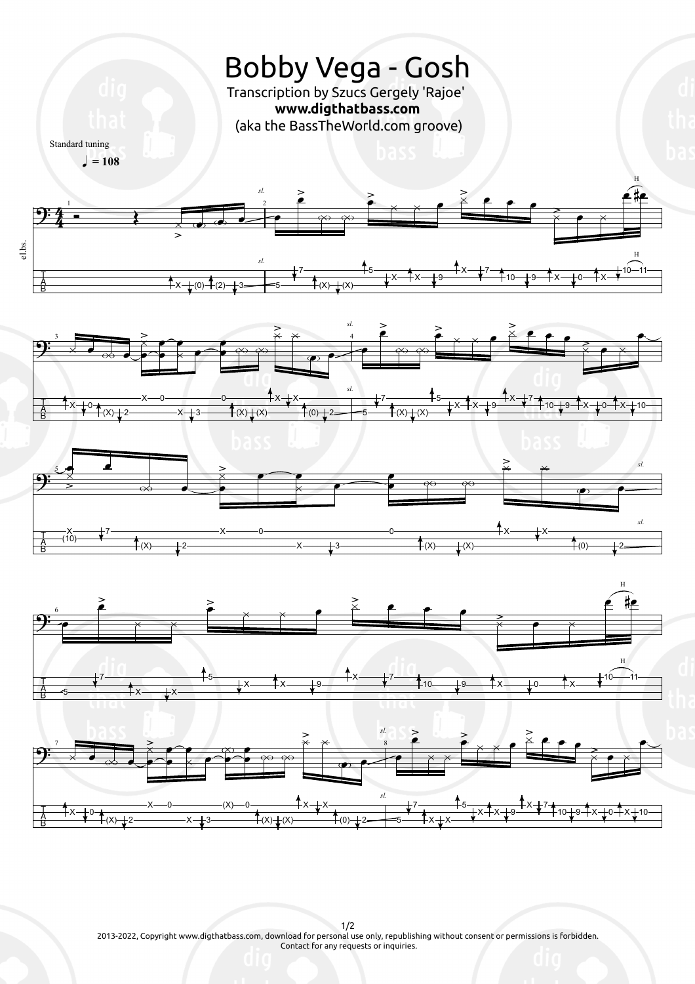

1/2 2013-2022, Copyright www.digthatbass.com, download for personal use only, republishing without consent or permissions is forbidden. Contact for any requests or inquiries.